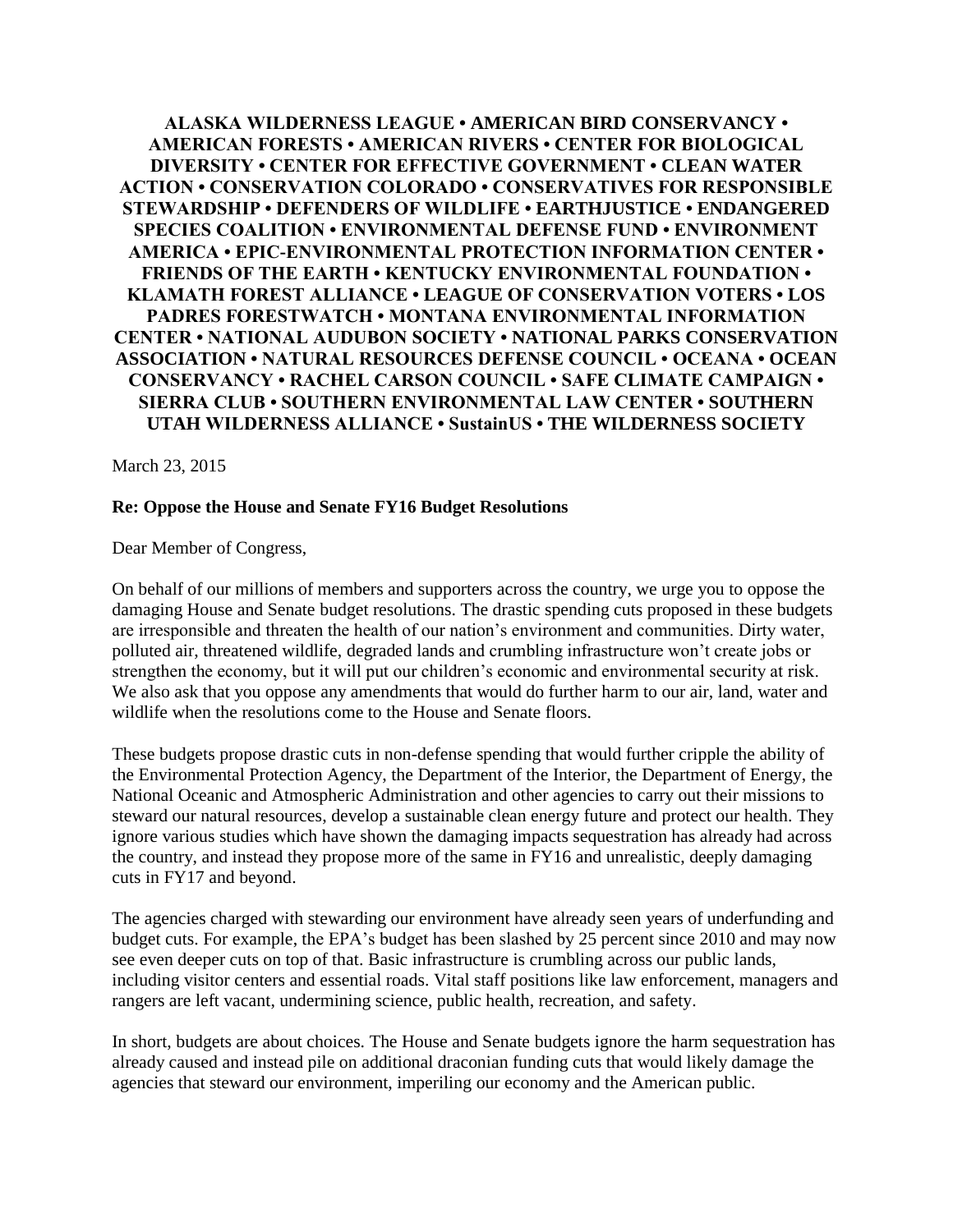**ALASKA WILDERNESS LEAGUE • AMERICAN BIRD CONSERVANCY • AMERICAN FORESTS • AMERICAN RIVERS • CENTER FOR BIOLOGICAL DIVERSITY • CENTER FOR EFFECTIVE GOVERNMENT • CLEAN WATER ACTION • CONSERVATION COLORADO • CONSERVATIVES FOR RESPONSIBLE STEWARDSHIP • DEFENDERS OF WILDLIFE • EARTHJUSTICE • ENDANGERED SPECIES COALITION • ENVIRONMENTAL DEFENSE FUND • ENVIRONMENT AMERICA • EPIC-ENVIRONMENTAL PROTECTION INFORMATION CENTER • FRIENDS OF THE EARTH • KENTUCKY ENVIRONMENTAL FOUNDATION • KLAMATH FOREST ALLIANCE • LEAGUE OF CONSERVATION VOTERS • LOS PADRES FORESTWATCH • MONTANA ENVIRONMENTAL INFORMATION CENTER • NATIONAL AUDUBON SOCIETY • NATIONAL PARKS CONSERVATION ASSOCIATION • NATURAL RESOURCES DEFENSE COUNCIL • OCEANA • OCEAN CONSERVANCY • RACHEL CARSON COUNCIL • SAFE CLIMATE CAMPAIGN • SIERRA CLUB • SOUTHERN ENVIRONMENTAL LAW CENTER • SOUTHERN UTAH WILDERNESS ALLIANCE • SustainUS • THE WILDERNESS SOCIETY** 

March 23, 2015

## **Re: Oppose the House and Senate FY16 Budget Resolutions**

Dear Member of Congress,

On behalf of our millions of members and supporters across the country, we urge you to oppose the damaging House and Senate budget resolutions. The drastic spending cuts proposed in these budgets are irresponsible and threaten the health of our nation's environment and communities. Dirty water, polluted air, threatened wildlife, degraded lands and crumbling infrastructure won't create jobs or strengthen the economy, but it will put our children's economic and environmental security at risk. We also ask that you oppose any amendments that would do further harm to our air, land, water and wildlife when the resolutions come to the House and Senate floors.

These budgets propose drastic cuts in non-defense spending that would further cripple the ability of the Environmental Protection Agency, the Department of the Interior, the Department of Energy, the National Oceanic and Atmospheric Administration and other agencies to carry out their missions to steward our natural resources, develop a sustainable clean energy future and protect our health. They ignore various studies which have shown the damaging impacts sequestration has already had across the country, and instead they propose more of the same in FY16 and unrealistic, deeply damaging cuts in FY17 and beyond.

The agencies charged with stewarding our environment have already seen years of underfunding and budget cuts. For example, the EPA's budget has been slashed by 25 percent since 2010 and may now see even deeper cuts on top of that. Basic infrastructure is crumbling across our public lands, including visitor centers and essential roads. Vital staff positions like law enforcement, managers and rangers are left vacant, undermining science, public health, recreation, and safety.

In short, budgets are about choices. The House and Senate budgets ignore the harm sequestration has already caused and instead pile on additional draconian funding cuts that would likely damage the agencies that steward our environment, imperiling our economy and the American public.